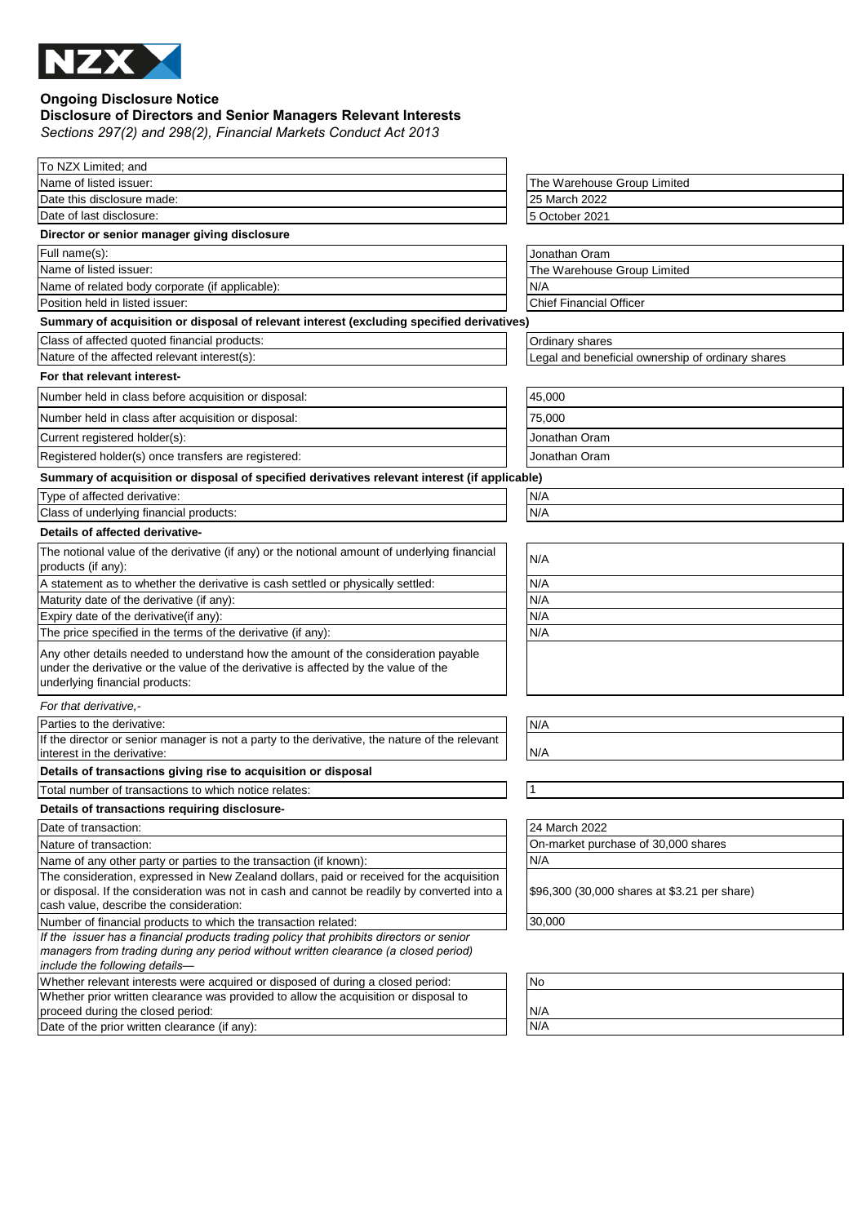

# **Ongoing Disclosure Notice**

## **Disclosure of Directors and Senior Managers Relevant Interests**

*Sections 297(2) and 298(2), Financial Markets Conduct Act 2013*

| To NZX Limited: and                                                                                                                                                                                                                 |                                                   |
|-------------------------------------------------------------------------------------------------------------------------------------------------------------------------------------------------------------------------------------|---------------------------------------------------|
| Name of listed issuer:                                                                                                                                                                                                              | The Warehouse Group Limited                       |
| Date this disclosure made:                                                                                                                                                                                                          | 25 March 2022                                     |
| Date of last disclosure:                                                                                                                                                                                                            | 5 October 2021                                    |
| Director or senior manager giving disclosure                                                                                                                                                                                        |                                                   |
| Full name(s):                                                                                                                                                                                                                       | Jonathan Oram                                     |
| Name of listed issuer:                                                                                                                                                                                                              | The Warehouse Group Limited                       |
| Name of related body corporate (if applicable):                                                                                                                                                                                     | N/A                                               |
| Position held in listed issuer:                                                                                                                                                                                                     | <b>Chief Financial Officer</b>                    |
| Summary of acquisition or disposal of relevant interest (excluding specified derivatives)                                                                                                                                           |                                                   |
| Class of affected quoted financial products:                                                                                                                                                                                        | Ordinary shares                                   |
| Nature of the affected relevant interest(s):                                                                                                                                                                                        | Legal and beneficial ownership of ordinary shares |
| For that relevant interest-                                                                                                                                                                                                         |                                                   |
| Number held in class before acquisition or disposal:                                                                                                                                                                                | 45,000                                            |
| Number held in class after acquisition or disposal:                                                                                                                                                                                 | 75,000                                            |
| Current registered holder(s):                                                                                                                                                                                                       | Jonathan Oram                                     |
| Registered holder(s) once transfers are registered:                                                                                                                                                                                 | Jonathan Oram                                     |
| Summary of acquisition or disposal of specified derivatives relevant interest (if applicable)                                                                                                                                       |                                                   |
| Type of affected derivative:                                                                                                                                                                                                        | N/A                                               |
| Class of underlying financial products:                                                                                                                                                                                             | N/A                                               |
| Details of affected derivative-                                                                                                                                                                                                     |                                                   |
| The notional value of the derivative (if any) or the notional amount of underlying financial                                                                                                                                        |                                                   |
| products (if any):                                                                                                                                                                                                                  | N/A                                               |
| A statement as to whether the derivative is cash settled or physically settled:                                                                                                                                                     | N/A                                               |
| Maturity date of the derivative (if any):                                                                                                                                                                                           | N/A                                               |
| Expiry date of the derivative(if any):                                                                                                                                                                                              | N/A                                               |
| The price specified in the terms of the derivative (if any):                                                                                                                                                                        | N/A                                               |
| Any other details needed to understand how the amount of the consideration payable<br>under the derivative or the value of the derivative is affected by the value of the                                                           |                                                   |
| underlying financial products:                                                                                                                                                                                                      |                                                   |
| For that derivative.-                                                                                                                                                                                                               |                                                   |
| Parties to the derivative:                                                                                                                                                                                                          | N/A                                               |
| If the director or senior manager is not a party to the derivative, the nature of the relevant<br>interest in the derivative:                                                                                                       | N/A                                               |
| Details of transactions giving rise to acquisition or disposal                                                                                                                                                                      |                                                   |
| Total number of transactions to which notice relates:                                                                                                                                                                               | 1                                                 |
| Details of transactions requiring disclosure-                                                                                                                                                                                       |                                                   |
| Date of transaction:                                                                                                                                                                                                                | 24 March 2022                                     |
| Nature of transaction:                                                                                                                                                                                                              | On-market purchase of 30,000 shares               |
| Name of any other party or parties to the transaction (if known):                                                                                                                                                                   | N/A                                               |
| The consideration, expressed in New Zealand dollars, paid or received for the acquisition<br>or disposal. If the consideration was not in cash and cannot be readily by converted into a<br>cash value, describe the consideration: | \$96,300 (30,000 shares at \$3.21 per share)      |
| Number of financial products to which the transaction related:                                                                                                                                                                      | 30,000                                            |
| If the issuer has a financial products trading policy that prohibits directors or senior                                                                                                                                            |                                                   |
| managers from trading during any period without written clearance (a closed period)<br>include the following details-                                                                                                               |                                                   |
| Whether relevant interests were acquired or disposed of during a closed period:                                                                                                                                                     | No                                                |
| Whether prior written clearance was provided to allow the acquisition or disposal to                                                                                                                                                |                                                   |
| proceed during the closed period:                                                                                                                                                                                                   | N/A                                               |
| Date of the prior written clearance (if any):                                                                                                                                                                                       | N/A                                               |